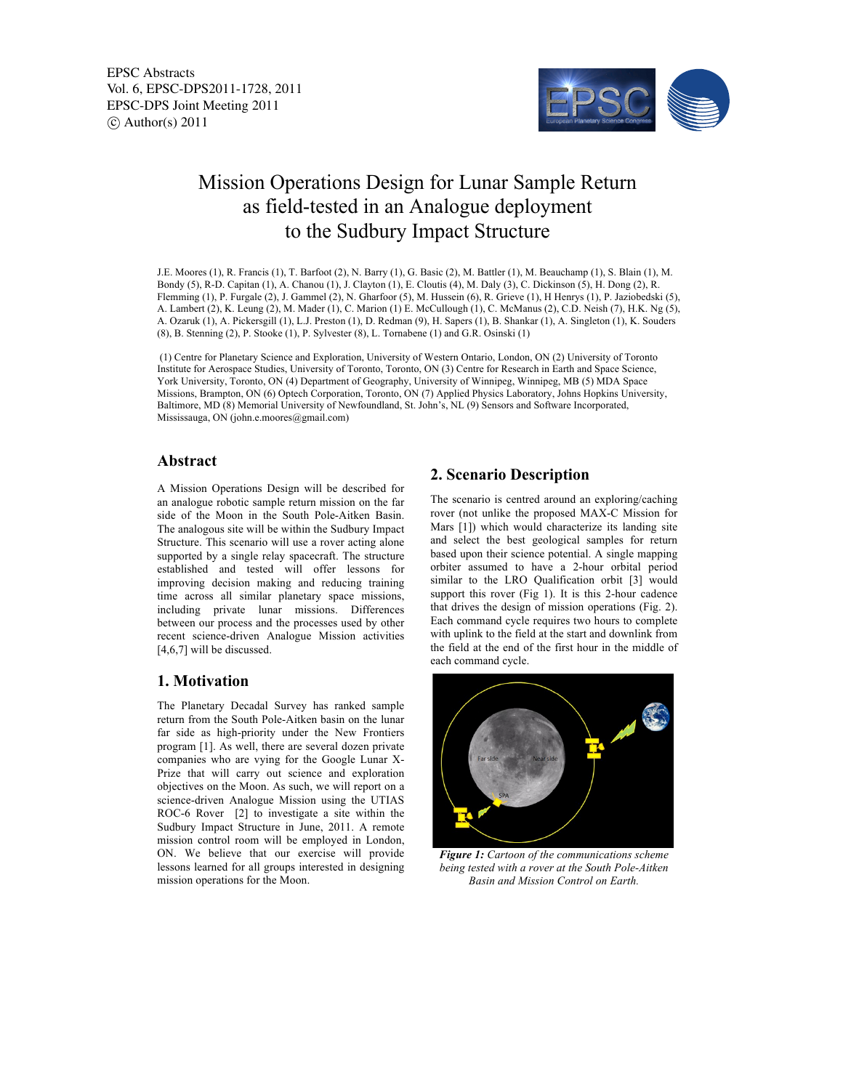EPSC Abstracts Vol. 6, EPSC-DPS2011-1728, 2011 EPSC-DPS Joint Meeting 2011  $\circ$  Author(s) 2011



# Mission Operations Design for Lunar Sample Return as field-tested in an Analogue deployment to the Sudbury Impact Structure

J.E. Moores (1), R. Francis (1), T. Barfoot (2), N. Barry (1), G. Basic (2), M. Battler (1), M. Beauchamp (1), S. Blain (1), M. Bondy (5), R-D. Capitan (1), A. Chanou (1), J. Clayton (1), E. Cloutis (4), M. Daly (3), C. Dickinson (5), H. Dong (2), R. Flemming (1), P. Furgale (2), J. Gammel (2), N. Gharfoor (5), M. Hussein (6), R. Grieve (1), H Henrys (1), P. Jaziobedski (5), A. Lambert (2), K. Leung (2), M. Mader (1), C. Marion (1) E. McCullough (1), C. McManus (2), C.D. Neish (7), H.K. Ng (5), A. Ozaruk (1), A. Pickersgill (1), L.J. Preston (1), D. Redman (9), H. Sapers (1), B. Shankar (1), A. Singleton (1), K. Souders (8), B. Stenning (2), P. Stooke (1), P. Sylvester (8), L. Tornabene (1) and G.R. Osinski (1)

(1) Centre for Planetary Science and Exploration, University of Western Ontario, London, ON (2) University of Toronto Institute for Aerospace Studies, University of Toronto, Toronto, ON (3) Centre for Research in Earth and Space Science, York University, Toronto, ON (4) Department of Geography, University of Winnipeg, Winnipeg, MB (5) MDA Space Missions, Brampton, ON (6) Optech Corporation, Toronto, ON (7) Applied Physics Laboratory, Johns Hopkins University, Baltimore, MD (8) Memorial University of Newfoundland, St. John's, NL (9) Sensors and Software Incorporated, Mississauga, ON (john.e.moores@gmail.com)

### **Abstract**

A Mission Operations Design will be described for an analogue robotic sample return mission on the far side of the Moon in the South Pole-Aitken Basin. The analogous site will be within the Sudbury Impact Structure. This scenario will use a rover acting alone supported by a single relay spacecraft. The structure established and tested will offer lessons for improving decision making and reducing training time across all similar planetary space missions, including private lunar missions. Differences between our process and the processes used by other recent science-driven Analogue Mission activities [4,6,7] will be discussed.

# **1. Motivation**

The Planetary Decadal Survey has ranked sample return from the South Pole-Aitken basin on the lunar far side as high-priority under the New Frontiers program [1]. As well, there are several dozen private companies who are vying for the Google Lunar X-Prize that will carry out science and exploration objectives on the Moon. As such, we will report on a science-driven Analogue Mission using the UTIAS ROC-6 Rover [2] to investigate a site within the Sudbury Impact Structure in June, 2011. A remote mission control room will be employed in London, ON. We believe that our exercise will provide lessons learned for all groups interested in designing mission operations for the Moon.

## **2. Scenario Description**

The scenario is centred around an exploring/caching rover (not unlike the proposed MAX-C Mission for Mars [1]) which would characterize its landing site and select the best geological samples for return based upon their science potential. A single mapping orbiter assumed to have a 2-hour orbital period similar to the LRO Qualification orbit [3] would support this rover (Fig 1). It is this 2-hour cadence that drives the design of mission operations (Fig. 2). Each command cycle requires two hours to complete with uplink to the field at the start and downlink from the field at the end of the first hour in the middle of each command cycle.



*Figure 1: Cartoon of the communications scheme being tested with a rover at the South Pole-Aitken Basin and Mission Control on Earth.*